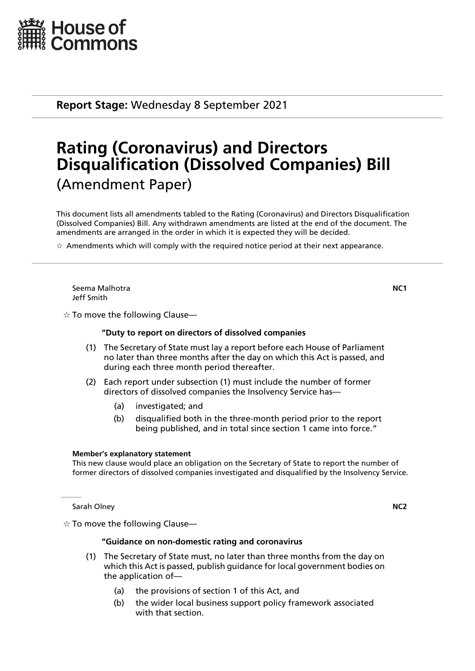

**Report Stage:** Wednesday 8 September 2021

# **Rating (Coronavirus) and Directors Disqualification (Dissolved Companies) Bill** (Amendment Paper)

This document lists all amendments tabled to the Rating (Coronavirus) and Directors Disqualification (Dissolved Companies) Bill. Any withdrawn amendments are listed at the end of the document. The amendments are arranged in the order in which it is expected they will be decided.

 $\star$  Amendments which will comply with the required notice period at their next appearance.

Seema Malhotra **NC1** Jeff Smith

 $\dot{\mathbb{X}}$  To move the following Clause—

# **"Duty to report on directors of dissolved companies**

- (1) The Secretary of State must lay a report before each House of Parliament no later than three months after the day on which this Act is passed, and during each three month period thereafter.
- (2) Each report under subsection (1) must include the number of former directors of dissolved companies the Insolvency Service has—
	- (a) investigated; and
	- (b) disqualified both in the three-month period prior to the report being published, and in total since section 1 came into force."

### **Member's explanatory statement**

This new clause would place an obligation on the Secretary of State to report the number of former directors of dissolved companies investigated and disqualified by the Insolvency Service.

Sarah Olney **NC2** 

 $\dot{\mathbb{X}}$  To move the following Clause—

# **"Guidance on non-domestic rating and coronavirus**

- (1) The Secretary of State must, no later than three months from the day on which this Act is passed, publish guidance for local government bodies on the application of—
	- (a) the provisions of section 1 of this Act, and
	- (b) the wider local business support policy framework associated with that section.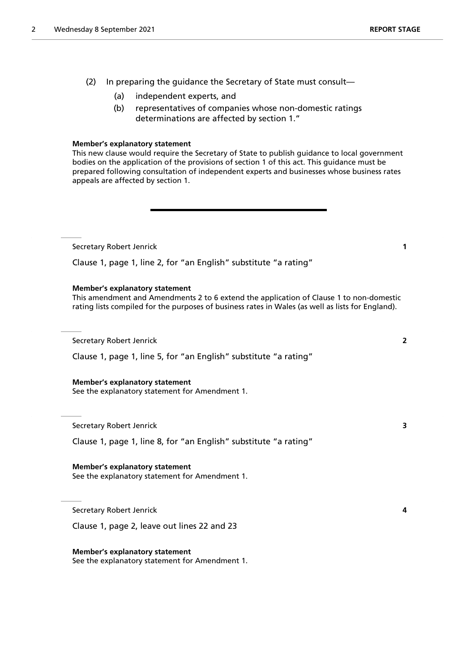- (2) In preparing the guidance the Secretary of State must consult—
	- (a) independent experts, and
	- (b) representatives of companies whose non-domestic ratings determinations are affected by section 1."

#### **Member's explanatory statement**

This new clause would require the Secretary of State to publish guidance to local government bodies on the application of the provisions of section 1 of this act. This guidance must be prepared following consultation of independent experts and businesses whose business rates appeals are affected by section 1.

Secretary Robert Jenrick **1**

Clause 1, page 1, line 2, for "an English" substitute "a rating"

#### **Member's explanatory statement**

This amendment and Amendments 2 to 6 extend the application of Clause 1 to non-domestic rating lists compiled for the purposes of business rates in Wales (as well as lists for England).

Secretary Robert Jenrick **2**

Clause 1, page 1, line 5, for "an English" substitute "a rating"

#### **Member's explanatory statement**

See the explanatory statement for Amendment 1.

Secretary Robert Jenrick **3**

Clause 1, page 1, line 8, for "an English" substitute "a rating"

#### **Member's explanatory statement**

See the explanatory statement for Amendment 1.

Secretary Robert Jenrick **4**

Clause 1, page 2, leave out lines 22 and 23

**Member's explanatory statement** See the explanatory statement for Amendment 1.